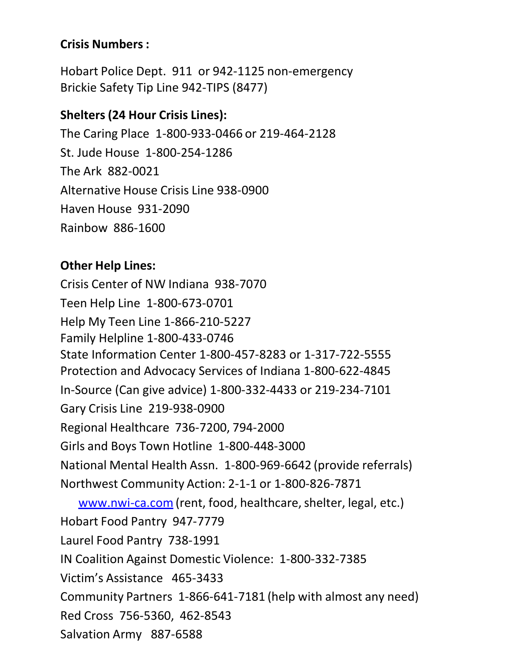## **Crisis Numbers:**

Hobart Police Dept. 911 or 942-1125 non-emergency Brickie Safety Tip Line 942-TIPS (8477)

# **Shelters (24 Hour Crisis Lines):**

The Caring Place 1-800-933-0466 or 219-464-2128 St. Jude House 1-800-254-1286 The Ark 882-0021 Alternative House Crisis Line 938-0900 Haven House 931-2090 Rainbow 886-1600

## **Other Help Lines:**

Crisis Center of NW Indiana 938-7070 Teen Help Line 1-800-673-0701 Help My Teen Line 1-866-210-5227 Family Helpline 1-800-433-0746 State Information Center 1-800-457-8283 or 1-317-722-5555 Protection and Advocacy Services of Indiana 1-800-622-4845 In-Source (Can give advice) 1-800-332-4433 or 219-234-7101 Gary Crisis Line 219-938-0900 Regional Healthcare 736-7200, 794-2000 Girls and Boys Town Hotline 1-800-448-3000 National Mental Health Assn. 1-800-969-6642 (provide referrals) Northwest Community Action: 2-1-1 or 1-800-826-7871 [www.nwi-ca.com](http://www.nwi-ca.com/) (rent, food, healthcare, shelter, legal, etc.) Hobart Food Pantry 947-7779 Laurel Food Pantry 738-1991 IN Coalition Against Domestic Violence: 1-800-332-7385 Victim's Assistance 465-3433 Community Partners 1-866-641-7181 (help with almost any need) Red Cross 756-5360, 462-8543 Salvation Army 887-6588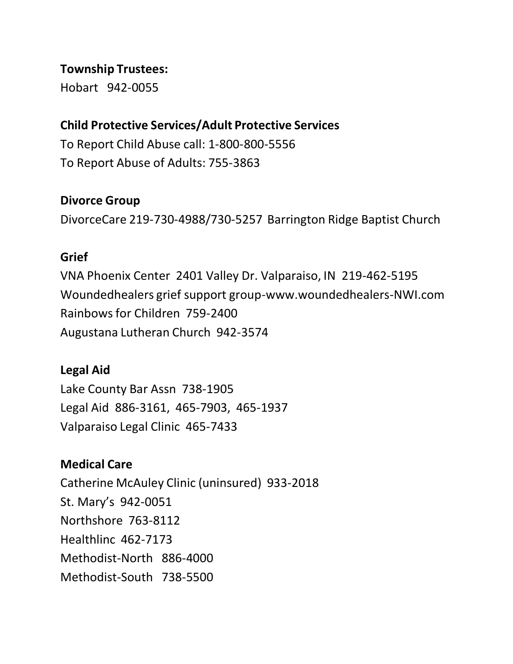### **Township Trustees:**

Hobart 942-0055

## **Child Protective Services/Adult Protective Services**

To Report Child Abuse call: 1-800-800-5556 To Report Abuse of Adults: 755-3863

### **Divorce Group**

DivorceCare 219-730-4988/730-5257 Barrington Ridge Baptist Church

#### **Grief**

VNA Phoenix Center 2401 Valley Dr. Valparaiso, IN 219-462-5195 Woundedhealers grief support group-www.woundedhealers-NWI.com Rainbowsfor Children 759-2400 Augustana Lutheran Church 942-3574

### **Legal Aid**

Lake County Bar Assn 738-1905 Legal Aid 886-3161, 465-7903, 465-1937 Valparaiso Legal Clinic 465-7433

## **Medical Care**

Catherine McAuley Clinic (uninsured) 933-2018 St. Mary's 942-0051 Northshore 763-8112 Healthlinc 462-7173 Methodist-North 886-4000 Methodist-South 738-5500